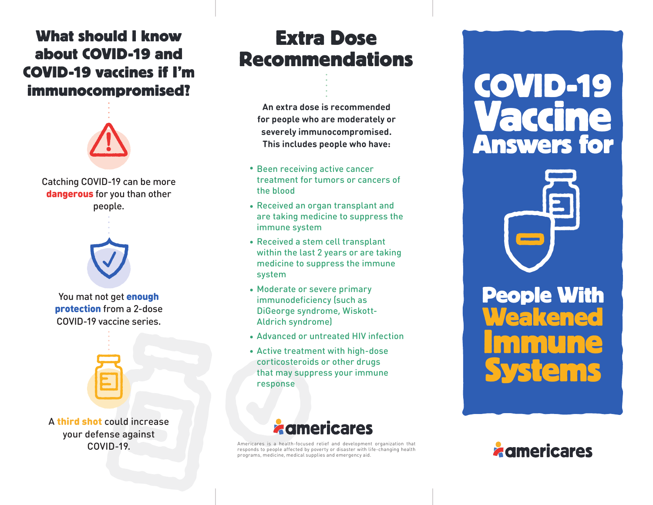## **What should I know about COVID-19 and COVID-19 vaccines if I'm immunocompromised?**



Catching COVID-19 can be more dangerous for you than other people.



You mat not get **enough** protection from a 2-dose COVID-19 vaccine series.



A third shot could increase your defense against COVID-19.

# **Extra Dose Recommendations**

**An extra dose is recommended for people who are moderately or severely immunocompromised. This includes people who have:** 

- **•** Been receiving active cancer treatment for tumors or cancers of the blood
- Received an organ transplant and **•** are taking medicine to suppress the immune system
- Received a stem cell transplant **•** within the last 2 years or are taking medicine to suppress the immune system
- Moderate or severe primary **•** immunodeficiency (such as DiGeorge syndrome, Wiskott-Aldrich syndrome)
- Advanced or untreated HIV infection **•**
- Active treatment with high-dose **•**corticosteroids or other drugs that may suppress your immune response



Americares is a health-focused relief and development organization that responds to people affected by poverty or disaster with life-changing health programs, medicine, medical supplies and emergency aid.

# **COVID-19 Vaccine Answers for**

**Immune Systems People With Weakened**